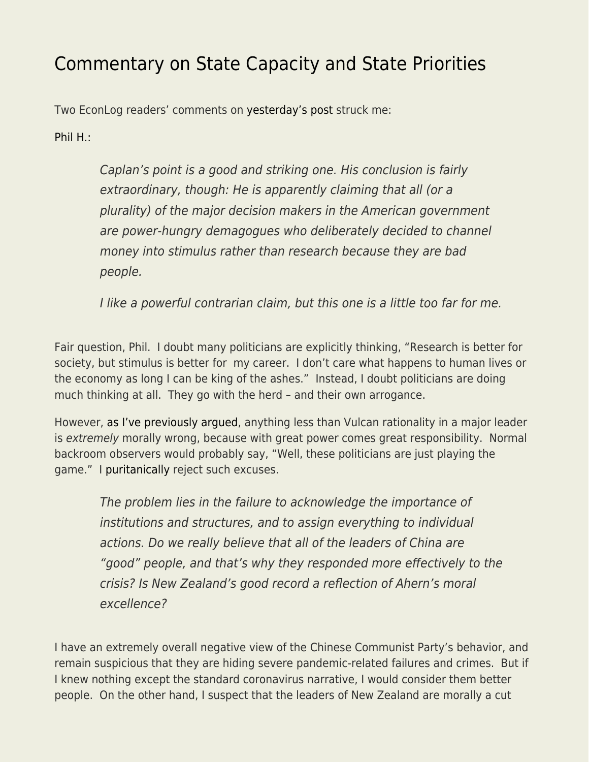## [Commentary on State Capacity and State Priorities](https://everything-voluntary.com/commentary-on-state-capacity-and-state-priorities)

Two EconLog readers' comments on [yesterday's post](https://www.econlib.org/state-priorities-not-state-capacity/) struck me:

[Phil H.:](https://www.econlib.org/state-priorities-not-state-capacity/#comment-246655)

Caplan's point is a good and striking one. His conclusion is fairly extraordinary, though: He is apparently claiming that all (or a plurality) of the major decision makers in the American government are power-hungry demagogues who deliberately decided to channel money into stimulus rather than research because they are bad people.

I like a powerful contrarian claim, but this one is a little too far for me.

Fair question, Phil. I doubt many politicians are explicitly thinking, "Research is better for society, but stimulus is better for my career. I don't care what happens to human lives or the economy as long I can be king of the ashes." Instead, I doubt politicians are doing much thinking at all. They go with the herd – and their own arrogance.

However, [as I've previously argued](https://www.econlib.org/archives/2015/12/how_evil_are_po.html), anything less than Vulcan rationality in a major leader is extremely morally wrong, because with great power comes great responsibility. Normal backroom observers would probably say, "Well, these politicians are just playing the game." I [puritanically](https://www.econlib.org/archives/2014/11/the_presumptive.html) reject such excuses.

The problem lies in the failure to acknowledge the importance of institutions and structures, and to assign everything to individual actions. Do we really believe that all of the leaders of China are "good" people, and that's why they responded more effectively to the crisis? Is New Zealand's good record a reflection of Ahern's moral excellence?

I have an extremely overall negative view of the Chinese Communist Party's behavior, and remain suspicious that they are hiding severe pandemic-related failures and crimes. But if I knew nothing except the standard coronavirus narrative, I would consider them better people. On the other hand, I suspect that the leaders of New Zealand are morally a cut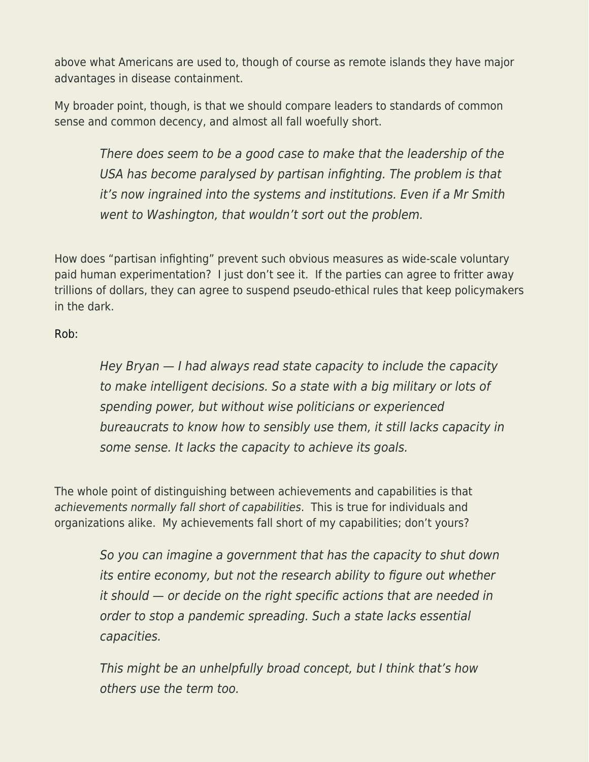above what Americans are used to, though of course as remote islands they have major advantages in disease containment.

My broader point, though, is that we should compare leaders to standards of common sense and common decency, and almost all fall woefully short.

There does seem to be a good case to make that the leadership of the USA has become paralysed by partisan infighting. The problem is that it's now ingrained into the systems and institutions. Even if a Mr Smith went to Washington, that wouldn't sort out the problem.

How does "partisan infighting" prevent such obvious measures as wide-scale voluntary paid human experimentation? I just don't see it. If the parties can agree to fritter away trillions of dollars, they can agree to suspend pseudo-ethical rules that keep policymakers in the dark.

[Rob:](https://www.econlib.org/state-priorities-not-state-capacity/#comment-246690)

Hey Bryan — I had always read state capacity to include the capacity to make intelligent decisions. So a state with a big military or lots of spending power, but without wise politicians or experienced bureaucrats to know how to sensibly use them, it still lacks capacity in some sense. It lacks the capacity to achieve its goals.

The whole point of distinguishing between achievements and capabilities is that achievements normally fall short of capabilities. This is true for individuals and organizations alike. My achievements fall short of my capabilities; don't yours?

> So you can imagine a government that has the capacity to shut down its entire economy, but not the research ability to figure out whether it should — or decide on the right specific actions that are needed in order to stop a pandemic spreading. Such a state lacks essential capacities.

This might be an unhelpfully broad concept, but I think that's how others use the term too.